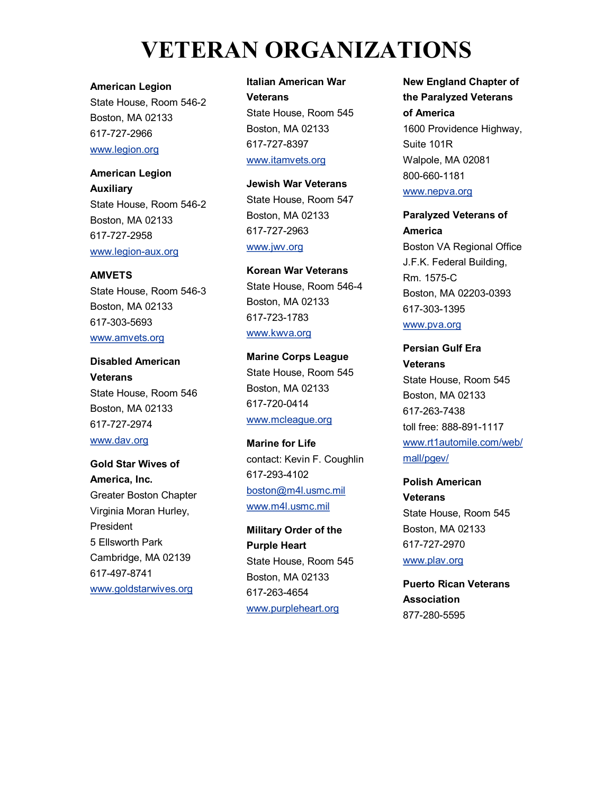# **VETERAN ORGANIZATIONS**

**American Legion**

State House, Room 546-2 Boston, MA 02133 617-727-2966 www.legion.org

**American Legion Auxiliary** State House, Room 546-2 Boston, MA 02133 617-727-2958 www.legion-aux.org

**AMVETS** State House, Room 546-3 Boston, MA 02133 617-303-5693 www.amvets.org

**Disabled American Veterans** State House, Room 546 Boston, MA 02133 617-727-2974 www.dav.org

**Gold Star Wives of America, Inc.** Greater Boston Chapter Virginia Moran Hurley, President 5 Ellsworth Park Cambridge, MA 02139 617-497-8741 www.goldstarwives.org

**Italian American War Veterans** State House, Room 545 Boston, MA 02133 617-727-8397 www.itamvets.org

**Jewish War Veterans** State House, Room 547 Boston, MA 02133 617-727-2963 www.jwv.org

**Korean War Veterans** State House, Room 546-4 Boston, MA 02133 617-723-1783 www.kwva.org

**Marine Corps League** State House, Room 545 Boston, MA 02133 617-720-0414 www.mcleague.org

**Marine for Life** contact: Kevin F. Coughlin 617-293-4102 boston@m4l.usmc.mil www.m4l.usmc.mil

**Military Order of the Purple Heart** State House, Room 545 Boston, MA 02133 617-263-4654 www.purpleheart.org

**New England Chapter of the Paralyzed Veterans of America** 1600 Providence Highway, Suite 101R Walpole, MA 02081 800-660-1181 www.nepva.org

**Paralyzed Veterans of America** Boston VA Regional Office J.F.K. Federal Building, Rm. 1575-C Boston, MA 02203-0393 617-303-1395

www.pva.org

**Persian Gulf Era Veterans** State House, Room 545 Boston, MA 02133 617-263-7438 toll free: 888-891-1117 www.rt1automile.com/web/ mall/pgev/

**Polish American Veterans** State House, Room 545 Boston, MA 02133 617-727-2970 www.plav.org

**Puerto Rican Veterans Association** 877-280-5595